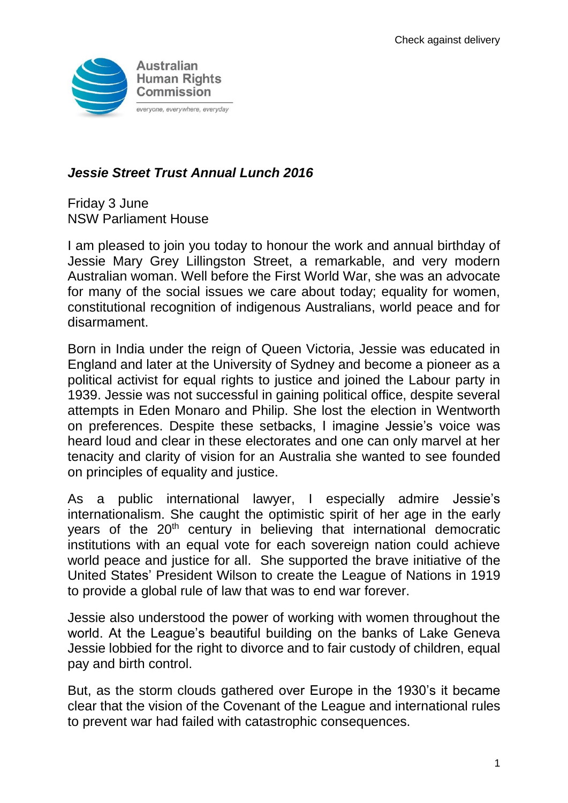

# *Jessie Street Trust Annual Lunch 2016*

Friday 3 June NSW Parliament House

I am pleased to join you today to honour the work and annual birthday of Jessie Mary Grey Lillingston Street, a remarkable, and very modern Australian woman. Well before the First World War, she was an advocate for many of the social issues we care about today; equality for women, constitutional recognition of indigenous Australians, world peace and for disarmament.

Born in India under the reign of Queen Victoria, Jessie was educated in England and later at the University of Sydney and become a pioneer as a political activist for equal rights to justice and joined the Labour party in 1939. Jessie was not successful in gaining political office, despite several attempts in Eden Monaro and Philip. She lost the election in Wentworth on preferences. Despite these setbacks, I imagine Jessie's voice was heard loud and clear in these electorates and one can only marvel at her tenacity and clarity of vision for an Australia she wanted to see founded on principles of equality and justice.

As a public international lawyer, I especially admire Jessie's internationalism. She caught the optimistic spirit of her age in the early years of the 20<sup>th</sup> century in believing that international democratic institutions with an equal vote for each sovereign nation could achieve world peace and justice for all. She supported the brave initiative of the United States' President Wilson to create the League of Nations in 1919 to provide a global rule of law that was to end war forever.

Jessie also understood the power of working with women throughout the world. At the League's beautiful building on the banks of Lake Geneva Jessie lobbied for the right to divorce and to fair custody of children, equal pay and birth control.

But, as the storm clouds gathered over Europe in the 1930's it became clear that the vision of the Covenant of the League and international rules to prevent war had failed with catastrophic consequences.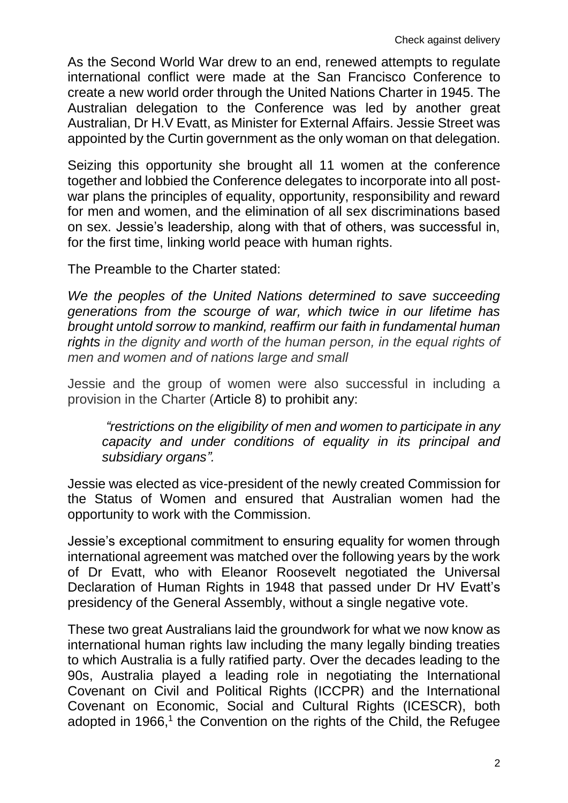As the Second World War drew to an end, renewed attempts to regulate international conflict were made at the San Francisco Conference to create a new world order through the United Nations Charter in 1945. The Australian delegation to the Conference was led by another great Australian, Dr H.V Evatt, as Minister for External Affairs. Jessie Street was appointed by the Curtin government as the only woman on that delegation.

Seizing this opportunity she brought all 11 women at the conference together and lobbied the Conference delegates to incorporate into all postwar plans the principles of equality, opportunity, responsibility and reward for men and women, and the elimination of all sex discriminations based on sex. Jessie's leadership, along with that of others, was successful in, for the first time, linking world peace with human rights.

The Preamble to the Charter stated:

We the peoples of the United Nations determined to save succeeding *generations from the scourge of war, which twice in our lifetime has brought untold sorrow to mankind, reaffirm our faith in fundamental human*  rights in the dignity and worth of the human person, in the equal rights of *men and women and of nations large and small*

Jessie and the group of women were also successful in including a provision in the Charter (Article 8) to prohibit any:

*"restrictions on the eligibility of men and women to participate in any capacity and under conditions of equality in its principal and subsidiary organs".*

Jessie was elected as vice-president of the newly created Commission for the Status of Women and ensured that Australian women had the opportunity to work with the Commission.

Jessie's exceptional commitment to ensuring equality for women through international agreement was matched over the following years by the work of Dr Evatt, who with Eleanor Roosevelt negotiated the Universal Declaration of Human Rights in 1948 that passed under Dr HV Evatt's presidency of the General Assembly, without a single negative vote.

These two great Australians laid the groundwork for what we now know as international human rights law including the many legally binding treaties to which Australia is a fully ratified party. Over the decades leading to the 90s, Australia played a leading role in negotiating the International Covenant on Civil and Political Rights (ICCPR) and the International Covenant on Economic, Social and Cultural Rights (ICESCR), both adopted in 1966,<sup>1</sup> the Convention on the rights of the Child, the Refugee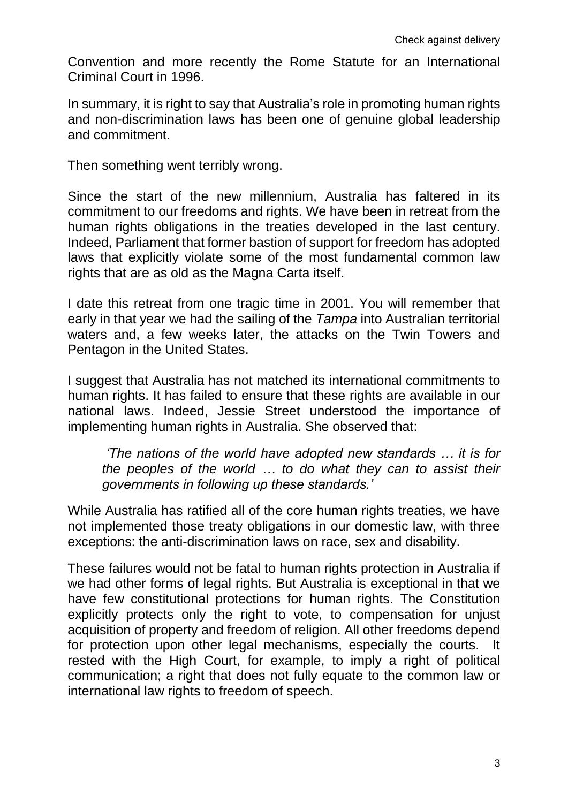Convention and more recently the Rome Statute for an International Criminal Court in 1996.

In summary, it is right to say that Australia's role in promoting human rights and non-discrimination laws has been one of genuine global leadership and commitment.

Then something went terribly wrong.

Since the start of the new millennium, Australia has faltered in its commitment to our freedoms and rights. We have been in retreat from the human rights obligations in the treaties developed in the last century. Indeed, Parliament that former bastion of support for freedom has adopted laws that explicitly violate some of the most fundamental common law rights that are as old as the Magna Carta itself.

I date this retreat from one tragic time in 2001. You will remember that early in that year we had the sailing of the *Tampa* into Australian territorial waters and, a few weeks later, the attacks on the Twin Towers and Pentagon in the United States.

I suggest that Australia has not matched its international commitments to human rights. It has failed to ensure that these rights are available in our national laws. Indeed, Jessie Street understood the importance of implementing human rights in Australia. She observed that:

*'The nations of the world have adopted new standards … it is for the peoples of the world … to do what they can to assist their governments in following up these standards.'*

While Australia has ratified all of the core human rights treaties, we have not implemented those treaty obligations in our domestic law, with three exceptions: the anti-discrimination laws on race, sex and disability.

These failures would not be fatal to human rights protection in Australia if we had other forms of legal rights. But Australia is exceptional in that we have few constitutional protections for human rights. The Constitution explicitly protects only the right to vote, to compensation for unjust acquisition of property and freedom of religion. All other freedoms depend for protection upon other legal mechanisms, especially the courts. It rested with the High Court, for example, to imply a right of political communication; a right that does not fully equate to the common law or international law rights to freedom of speech.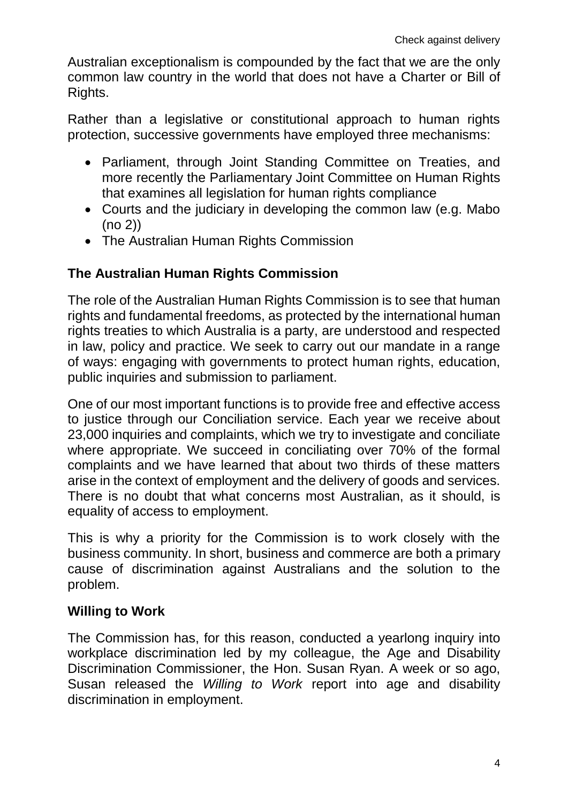Australian exceptionalism is compounded by the fact that we are the only common law country in the world that does not have a Charter or Bill of Rights.

Rather than a legislative or constitutional approach to human rights protection, successive governments have employed three mechanisms:

- Parliament, through Joint Standing Committee on Treaties, and more recently the Parliamentary Joint Committee on Human Rights that examines all legislation for human rights compliance
- Courts and the judiciary in developing the common law (e.g. Mabo  $(no 2)$
- The Australian Human Rights Commission

## **The Australian Human Rights Commission**

The role of the Australian Human Rights Commission is to see that human rights and fundamental freedoms, as protected by the international human rights treaties to which Australia is a party, are understood and respected in law, policy and practice. We seek to carry out our mandate in a range of ways: engaging with governments to protect human rights, education, public inquiries and submission to parliament.

One of our most important functions is to provide free and effective access to justice through our Conciliation service. Each year we receive about 23,000 inquiries and complaints, which we try to investigate and conciliate where appropriate. We succeed in conciliating over 70% of the formal complaints and we have learned that about two thirds of these matters arise in the context of employment and the delivery of goods and services. There is no doubt that what concerns most Australian, as it should, is equality of access to employment.

This is why a priority for the Commission is to work closely with the business community. In short, business and commerce are both a primary cause of discrimination against Australians and the solution to the problem.

### **Willing to Work**

The Commission has, for this reason, conducted a yearlong inquiry into workplace discrimination led by my colleague, the Age and Disability Discrimination Commissioner, the Hon. Susan Ryan. A week or so ago, Susan released the *Willing to Work* report into age and disability discrimination in employment.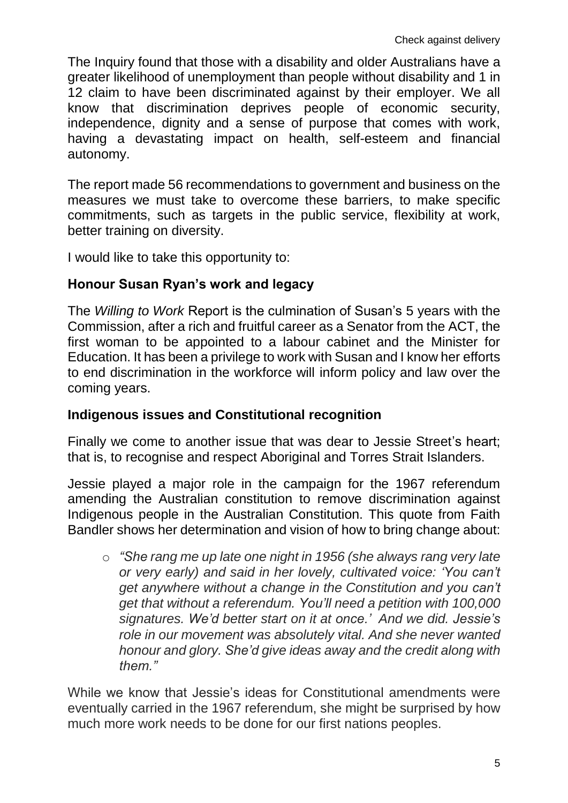The Inquiry found that those with a disability and older Australians have a greater likelihood of unemployment than people without disability and 1 in 12 claim to have been discriminated against by their employer. We all know that discrimination deprives people of economic security, independence, dignity and a sense of purpose that comes with work, having a devastating impact on health, self-esteem and financial autonomy.

The report made 56 recommendations to government and business on the measures we must take to overcome these barriers, to make specific commitments, such as targets in the public service, flexibility at work, better training on diversity.

I would like to take this opportunity to:

#### **Honour Susan Ryan's work and legacy**

The *Willing to Work* Report is the culmination of Susan's 5 years with the Commission, after a rich and fruitful career as a Senator from the ACT, the first woman to be appointed to a labour cabinet and the Minister for Education. It has been a privilege to work with Susan and I know her efforts to end discrimination in the workforce will inform policy and law over the coming years.

#### **Indigenous issues and Constitutional recognition**

Finally we come to another issue that was dear to Jessie Street's heart; that is, to recognise and respect Aboriginal and Torres Strait Islanders.

Jessie played a major role in the campaign for the 1967 referendum amending the Australian constitution to remove discrimination against Indigenous people in the Australian Constitution. This quote from Faith Bandler shows her determination and vision of how to bring change about:

o *"She rang me up late one night in 1956 (she always rang very late or very early) and said in her lovely, cultivated voice: 'You can't get anywhere without a change in the Constitution and you can't get that without a referendum. You'll need a petition with 100,000 signatures. We'd better start on it at once.' And we did. Jessie's role in our movement was absolutely vital. And she never wanted honour and glory. She'd give ideas away and the credit along with them."*

While we know that Jessie's ideas for Constitutional amendments were eventually carried in the 1967 referendum, she might be surprised by how much more work needs to be done for our first nations peoples.